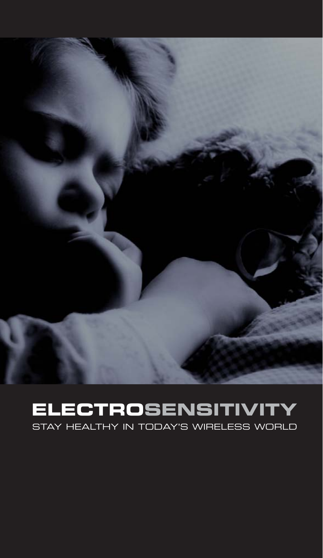

## **ELECTROSENSITIVITY**

STAY HEALTHY IN TODAY'S WIRELESS WORLD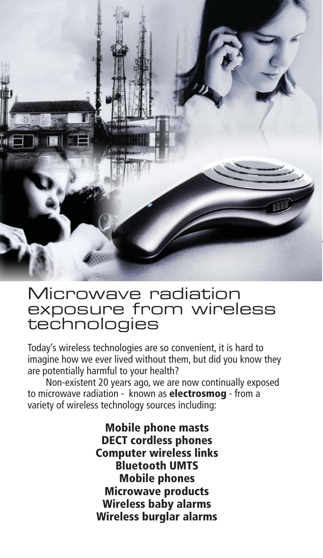

#### Microwave radiation exposure from wireless technologies

Today's wireless technologies are so convenient, it is hard to imagine how we ever lived without them, but did you know they are potentially harmful to your health?

 Non-existent 20 years ago, we are now continually exposed to microwave radiation - known as **electrosmog** - from a variety of wireless technology sources including:

> **Mobile phone masts DECT cordless phones Computer wireless links Bluetooth UMTS Mobile phones Microwave products Wireless baby alarms Wireless burglar alarms**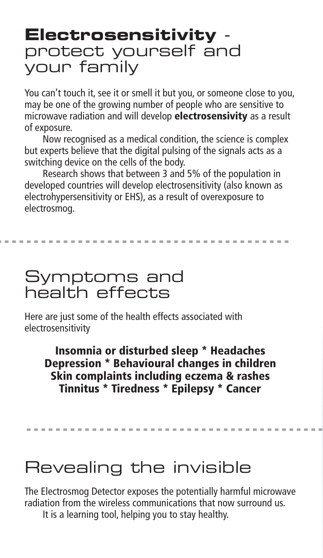# **Electrosensitivity** -<br>protect yourself and your family

You can't touch it, see it or smell it but you, or someone close to you, may be one of the growing number of people who are sensitive to microwave radiation and will develop **electrosensivity** as a result of exposure.

 Now recognised as a medical condition, the science is complex but experts believe that the digital pulsing of the signals acts as a switching device on the cells of the body.

 Research shows that between 3 and 5% of the population in developed countries will develop electrosensitivity (also known as electrohypersensitivity or EHS), as a result of overexposure to electrosmog.

#### Symptoms and health effects

Here are just some of the health effects associated with electrosensitivity

**Insomnia or disturbed sleep \* Headaches Depression \* Behavioural changes in children Skin complaints including eczema & rashes Tinnitus \* Tiredness \* Epilepsy \* Cancer**

### Revealing the invisible

The Electrosmog Detector exposes the potentially harmful microwave radiation from the wireless communications that now surround us.

It is a learning tool, helping you to stay healthy.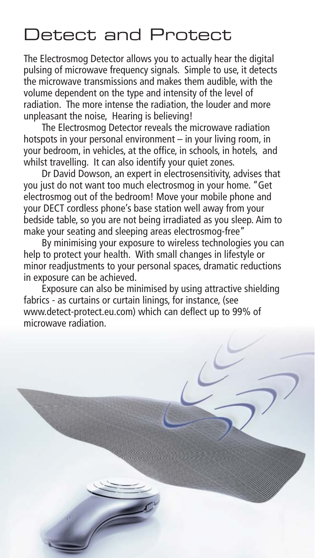### Detect and Protect

The Electrosmog Detector allows you to actually hear the digital pulsing of microwave frequency signals. Simple to use, it detects the microwave transmissions and makes them audible, with the volume dependent on the type and intensity of the level of radiation. The more intense the radiation, the louder and more unpleasant the noise, Hearing is believing!

 The Electrosmog Detector reveals the microwave radiation hotspots in your personal environment – in your living room, in your bedroom, in vehicles, at the office, in schools, in hotels, and whilst travelling. It can also identify your quiet zones.

 Dr David Dowson, an expert in electrosensitivity, advises that you just do not want too much electrosmog in your home. "Get electrosmog out of the bedroom! Move your mobile phone and your DECT cordless phone's base station well away from your bedside table, so you are not being irradiated as you sleep. Aim to make your seating and sleeping areas electrosmog-free"

 By minimising your exposure to wireless technologies you can help to protect your health. With small changes in lifestyle or minor readjustments to your personal spaces, dramatic reductions in exposure can be achieved.

 Exposure can also be minimised by using attractive shielding fabrics - as curtains or curtain linings, for instance, (see www.detect-protect.eu.com) which can deflect up to 99% of microwave radiation.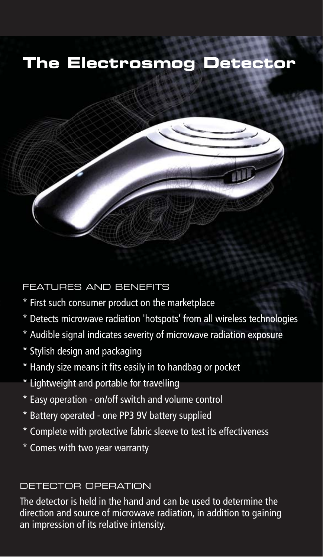#### **The Electrosmog Detector**



FEATURES AND BENEFITS

- \* First such consumer product on the marketplace
- \* Detects microwave radiation 'hotspots' from all wireless technologies
- \* Audible signal indicates severity of microwave radiation exposure
- \* Stylish design and packaging
- \* Handy size means it fits easily in to handbag or pocket
- \* Lightweight and portable for travelling
- \* Easy operation on/off switch and volume control
- \* Battery operated one PP3 9V battery supplied
- \* Complete with protective fabric sleeve to test its effectiveness
- \* Comes with two year warranty

#### DETECTOR OPERATION

The detector is held in the hand and can be used to determine the direction and source of microwave radiation, in addition to gaining an impression of its relative intensity.